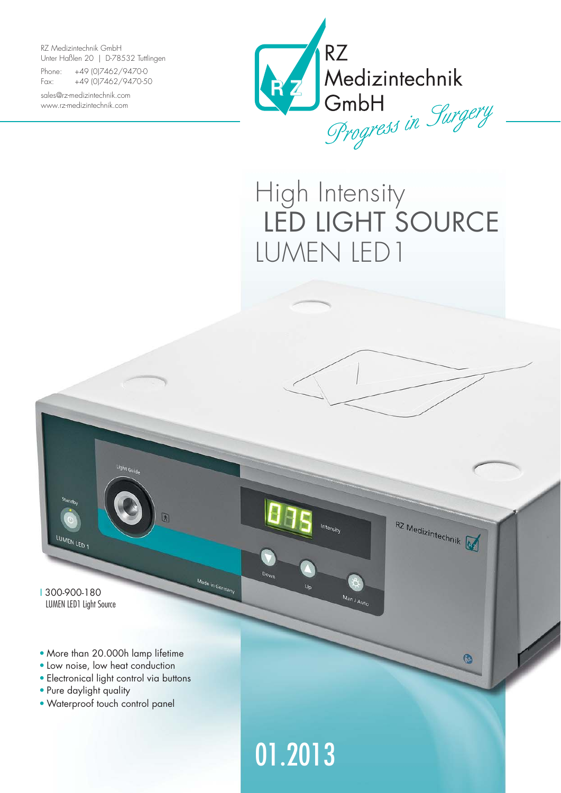RZ Medizintechnik GmbH Unter Haßlen 20 | D-78532 Tuttlingen

Phone: +49 (0)7462/9470-0 Fax: +49 (0)7462/9470-50

sales@rz-medizintechnik.com www.rz-medizintechnik.com



## High Intensity LED LIGHT SOURCE LUMEN LED1

I 300-900-180 LUMEN LED1 Light Source

LUMEN LED 1

• More than 20.000h lamp lifetime

Light Guide

- Low noise, low heat conduction
- Electronical light control via buttons
- Pure daylight quality
- Waterproof touch control panel

RZ Medizintechnik

 $\bullet$ 

01.2013

**DOW** 

Made in German

Intensity

Man / Auto